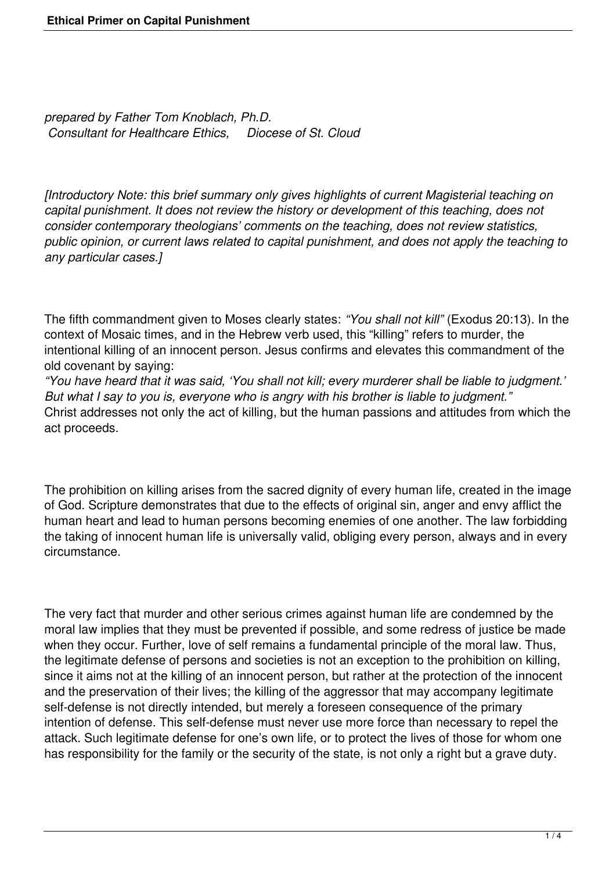*prepared by Father Tom Knoblach, Ph.D. Consultant for Healthcare Ethics, Diocese of St. Cloud*

*[Introductory Note: this brief summary only gives highlights of current Magisterial teaching on capital punishment. It does not review the history or development of this teaching, does not consider contemporary theologians' comments on the teaching, does not review statistics, public opinion, or current laws related to capital punishment, and does not apply the teaching to any particular cases.]*

The fifth commandment given to Moses clearly states: *"You shall not kill"* (Exodus 20:13). In the context of Mosaic times, and in the Hebrew verb used, this "killing" refers to murder, the intentional killing of an innocent person. Jesus confirms and elevates this commandment of the old covenant by saying:

*"You have heard that it was said, 'You shall not kill; every murderer shall be liable to judgment.' But what I say to you is, everyone who is angry with his brother is liable to judgment."* Christ addresses not only the act of killing, but the human passions and attitudes from which the act proceeds.

The prohibition on killing arises from the sacred dignity of every human life, created in the image of God. Scripture demonstrates that due to the effects of original sin, anger and envy afflict the human heart and lead to human persons becoming enemies of one another. The law forbidding the taking of innocent human life is universally valid, obliging every person, always and in every circumstance.

The very fact that murder and other serious crimes against human life are condemned by the moral law implies that they must be prevented if possible, and some redress of justice be made when they occur. Further, love of self remains a fundamental principle of the moral law. Thus, the legitimate defense of persons and societies is not an exception to the prohibition on killing, since it aims not at the killing of an innocent person, but rather at the protection of the innocent and the preservation of their lives; the killing of the aggressor that may accompany legitimate self-defense is not directly intended, but merely a foreseen consequence of the primary intention of defense. This self-defense must never use more force than necessary to repel the attack. Such legitimate defense for one's own life, or to protect the lives of those for whom one has responsibility for the family or the security of the state, is not only a right but a grave duty.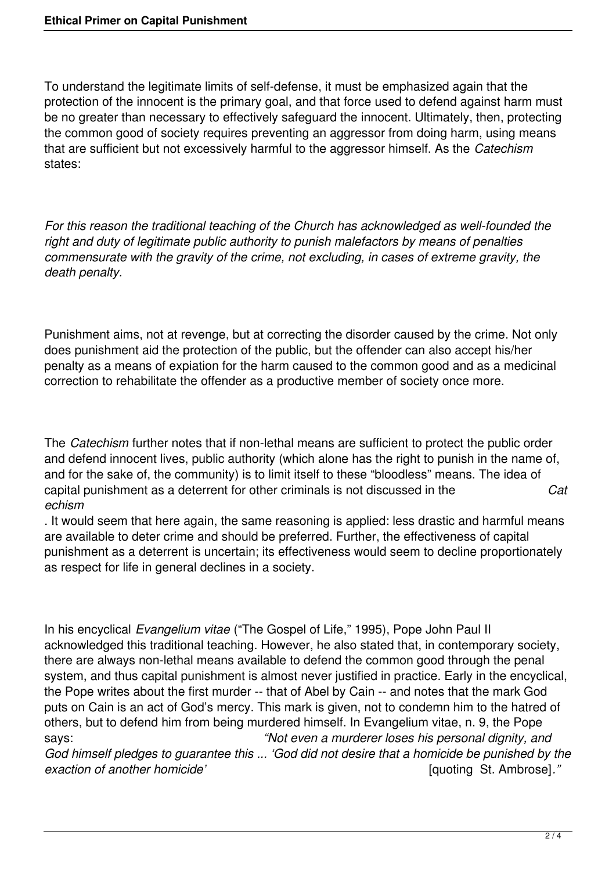To understand the legitimate limits of self-defense, it must be emphasized again that the protection of the innocent is the primary goal, and that force used to defend against harm must be no greater than necessary to effectively safeguard the innocent. Ultimately, then, protecting the common good of society requires preventing an aggressor from doing harm, using means that are sufficient but not excessively harmful to the aggressor himself. As the *Catechism* states:

*For this reason the traditional teaching of the Church has acknowledged as well-founded the right and duty of legitimate public authority to punish malefactors by means of penalties commensurate with the gravity of the crime, not excluding, in cases of extreme gravity, the death penalty.*

Punishment aims, not at revenge, but at correcting the disorder caused by the crime. Not only does punishment aid the protection of the public, but the offender can also accept his/her penalty as a means of expiation for the harm caused to the common good and as a medicinal correction to rehabilitate the offender as a productive member of society once more.

The *Catechism* further notes that if non-lethal means are sufficient to protect the public order and defend innocent lives, public authority (which alone has the right to punish in the name of, and for the sake of, the community) is to limit itself to these "bloodless" means. The idea of capital punishment as a deterrent for other criminals is not discussed in the *Cat echism*

. It would seem that here again, the same reasoning is applied: less drastic and harmful means are available to deter crime and should be preferred. Further, the effectiveness of capital punishment as a deterrent is uncertain; its effectiveness would seem to decline proportionately as respect for life in general declines in a society.

In his encyclical *Evangelium vitae* ("The Gospel of Life," 1995), Pope John Paul II acknowledged this traditional teaching. However, he also stated that, in contemporary society, there are always non-lethal means available to defend the common good through the penal system, and thus capital punishment is almost never justified in practice. Early in the encyclical, the Pope writes about the first murder -- that of Abel by Cain -- and notes that the mark God puts on Cain is an act of God's mercy. This mark is given, not to condemn him to the hatred of others, but to defend him from being murdered himself. In Evangelium vitae, n. 9, the Pope says: *"Not even a murderer loses his personal dignity, and God himself pledges to guarantee this ... 'God did not desire that a homicide be punished by the exaction of another homicide'* [quoting St. Ambrose]*."*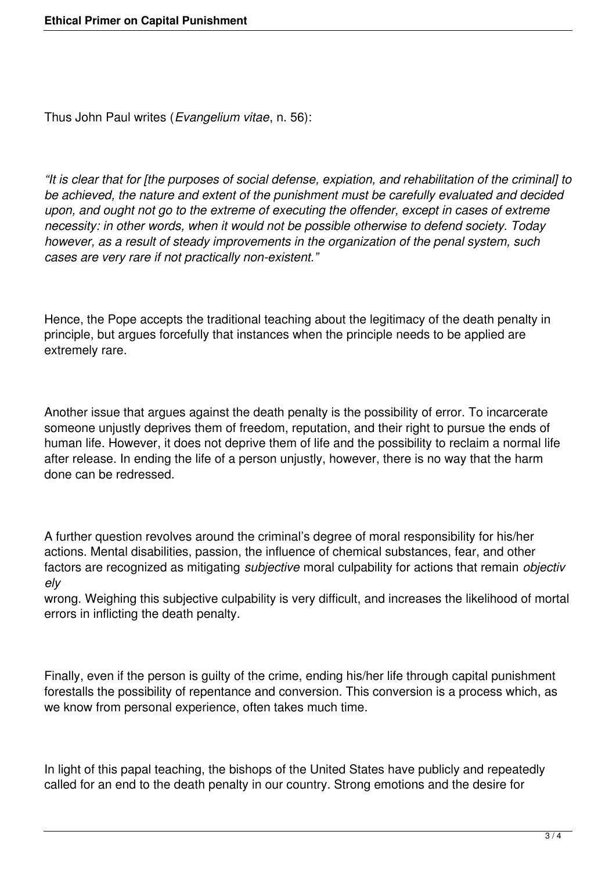Thus John Paul writes (*Evangelium vitae*, n. 56):

*"It is clear that for [the purposes of social defense, expiation, and rehabilitation of the criminal] to be achieved, the nature and extent of the punishment must be carefully evaluated and decided upon, and ought not go to the extreme of executing the offender, except in cases of extreme necessity: in other words, when it would not be possible otherwise to defend society. Today however, as a result of steady improvements in the organization of the penal system, such cases are very rare if not practically non-existent."*

Hence, the Pope accepts the traditional teaching about the legitimacy of the death penalty in principle, but argues forcefully that instances when the principle needs to be applied are extremely rare.

Another issue that argues against the death penalty is the possibility of error. To incarcerate someone unjustly deprives them of freedom, reputation, and their right to pursue the ends of human life. However, it does not deprive them of life and the possibility to reclaim a normal life after release. In ending the life of a person unjustly, however, there is no way that the harm done can be redressed.

A further question revolves around the criminal's degree of moral responsibility for his/her actions. Mental disabilities, passion, the influence of chemical substances, fear, and other factors are recognized as mitigating *subjective* moral culpability for actions that remain *objectiv ely*

wrong. Weighing this subjective culpability is very difficult, and increases the likelihood of mortal errors in inflicting the death penalty.

Finally, even if the person is guilty of the crime, ending his/her life through capital punishment forestalls the possibility of repentance and conversion. This conversion is a process which, as we know from personal experience, often takes much time.

In light of this papal teaching, the bishops of the United States have publicly and repeatedly called for an end to the death penalty in our country. Strong emotions and the desire for